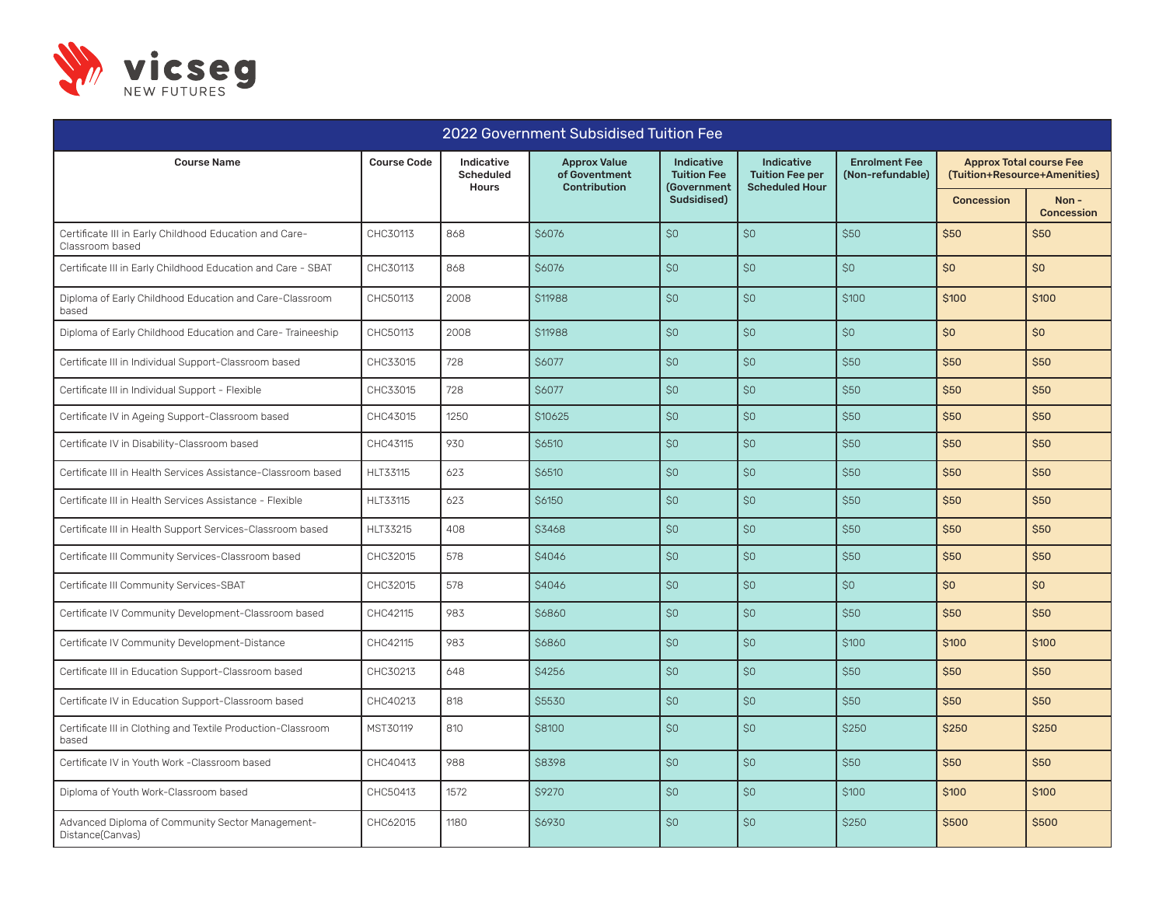

| 2022 Government Subsidised Tuition Fee                                    |                    |                                                |                                                             |                                                 |                                                                      |                                          |                                                                |                           |
|---------------------------------------------------------------------------|--------------------|------------------------------------------------|-------------------------------------------------------------|-------------------------------------------------|----------------------------------------------------------------------|------------------------------------------|----------------------------------------------------------------|---------------------------|
| <b>Course Name</b>                                                        | <b>Course Code</b> | Indicative<br><b>Scheduled</b><br><b>Hours</b> | <b>Approx Value</b><br>of Goventment<br><b>Contribution</b> | Indicative<br><b>Tuition Fee</b><br>(Government | <b>Indicative</b><br><b>Tuition Fee per</b><br><b>Scheduled Hour</b> | <b>Enrolment Fee</b><br>(Non-refundable) | <b>Approx Total course Fee</b><br>(Tuition+Resource+Amenities) |                           |
|                                                                           |                    |                                                |                                                             | Sudsidised)                                     |                                                                      |                                          | <b>Concession</b>                                              | Non-<br><b>Concession</b> |
| Certificate III in Early Childhood Education and Care-<br>Classroom based | CHC30113           | 868                                            | <b>\$6076</b>                                               | SO                                              | \$0                                                                  | \$50                                     | \$50                                                           | \$50                      |
| Certificate III in Early Childhood Education and Care - SBAT              | CHC30113           | 868                                            | <b>\$6076</b>                                               | SO                                              | \$0                                                                  | \$0                                      | \$0                                                            | \$0                       |
| Diploma of Early Childhood Education and Care-Classroom<br>based          | CHC50113           | 2008                                           | \$11988                                                     | \$0                                             | \$0                                                                  | \$100                                    | \$100                                                          | \$100                     |
| Diploma of Early Childhood Education and Care- Traineeship                | CHC50113           | 2008                                           | \$11988                                                     | \$0                                             | \$0                                                                  | \$0                                      | \$0                                                            | \$0                       |
| Certificate III in Individual Support-Classroom based                     | CHC33015           | 728                                            | \$6077                                                      | \$0                                             | \$0                                                                  | \$50                                     | \$50                                                           | \$50                      |
| Certificate III in Individual Support - Flexible                          | CHC33015           | 728                                            | \$6077                                                      | SO <sub>2</sub>                                 | SO                                                                   | \$50                                     | \$50                                                           | \$50                      |
| Certificate IV in Ageing Support-Classroom based                          | CHC43015           | 1250                                           | <b>\$10625</b>                                              | SO                                              | SO <sub>2</sub>                                                      | \$50                                     | <b>\$50</b>                                                    | <b>\$50</b>               |
| Certificate IV in Disability-Classroom based                              | CHC43115           | 930                                            | <b>\$6510</b>                                               | \$0                                             | \$0                                                                  | \$50                                     | \$50                                                           | \$50                      |
| Certificate III in Health Services Assistance-Classroom based             | <b>HLT33115</b>    | 623                                            | \$6510                                                      | \$0                                             | \$0                                                                  | \$50                                     | \$50                                                           | \$50                      |
| Certificate III in Health Services Assistance - Flexible                  | HLT33115           | 623                                            | \$6150                                                      | \$0                                             | \$0                                                                  | \$50                                     | \$50                                                           | \$50                      |
| Certificate III in Health Support Services-Classroom based                | HLT33215           | 408                                            | \$3468                                                      | SO <sub>2</sub>                                 | SO                                                                   | \$50                                     | <b>\$50</b>                                                    | <b>\$50</b>               |
| Certificate III Community Services-Classroom based                        | CHC32015           | 578                                            | <b>\$4046</b>                                               | SO                                              | SO                                                                   | \$50                                     | \$50                                                           | \$50                      |
| Certificate III Community Services-SBAT                                   | CHC32015           | 578                                            | \$4046                                                      | SO <sub>2</sub>                                 | SO <sub>2</sub>                                                      | \$0                                      | \$0                                                            | \$0                       |
| Certificate IV Community Development-Classroom based                      | CHC42115           | 983                                            | \$6860                                                      | SO                                              | \$0                                                                  | <b>\$50</b>                              | \$50                                                           | \$50                      |
| Certificate IV Community Development-Distance                             | CHC42115           | 983                                            | \$6860                                                      | SO                                              | SO                                                                   | \$100                                    | <b>\$100</b>                                                   | <b>\$100</b>              |
| Certificate III in Education Support-Classroom based                      | CHC30213           | 648                                            | \$4256                                                      | \$0                                             | \$0                                                                  | \$50                                     | \$50                                                           | \$50                      |
| Certificate IV in Education Support-Classroom based                       | CHC40213           | 818                                            | \$5530                                                      | \$0                                             | \$0                                                                  | \$50                                     | \$50                                                           | \$50                      |
| Certificate III in Clothing and Textile Production-Classroom<br>based     | MST30119           | 810                                            | \$8100                                                      | \$0                                             | \$0                                                                  | \$250                                    | \$250                                                          | \$250                     |
| Certificate IV in Youth Work -Classroom based                             | CHC40413           | 988                                            | \$8398                                                      | \$0                                             | \$0                                                                  | \$50                                     | \$50                                                           | \$50                      |
| Diploma of Youth Work-Classroom based                                     | CHC50413           | 1572                                           | \$9270                                                      | \$0                                             | \$0                                                                  | \$100                                    | \$100                                                          | \$100                     |
| Advanced Diploma of Community Sector Management-<br>Distance(Canvas)      | CHC62015           | 1180                                           | <b>\$6930</b>                                               | SO                                              | SO <sub>2</sub>                                                      | \$250                                    | \$500                                                          | \$500                     |